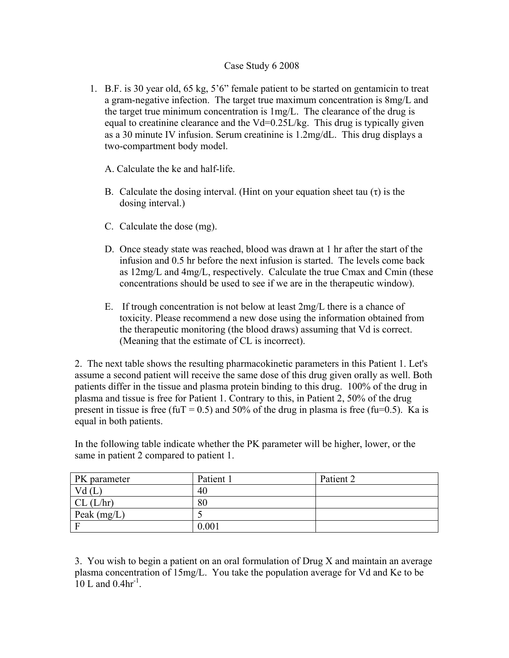## Case Study 6 2008

- 1. B.F. is 30 year old, 65 kg, 5'6" female patient to be started on gentamicin to treat a gram-negative infection. The target true maximum concentration is 8mg/L and the target true minimum concentration is 1mg/L. The clearance of the drug is equal to creatinine clearance and the Vd=0.25L/kg. This drug is typically given as a 30 minute IV infusion. Serum creatinine is 1.2mg/dL. This drug displays a two-compartment body model.
	- A. Calculate the ke and half-life.
	- B. Calculate the dosing interval. (Hint on your equation sheet tau  $(\tau)$  is the dosing interval.)
	- C. Calculate the dose (mg).
	- D. Once steady state was reached, blood was drawn at 1 hr after the start of the infusion and 0.5 hr before the next infusion is started. The levels come back as 12mg/L and 4mg/L, respectively. Calculate the true Cmax and Cmin (these concentrations should be used to see if we are in the therapeutic window).
	- E. If trough concentration is not below at least 2mg/L there is a chance of toxicity. Please recommend a new dose using the information obtained from the therapeutic monitoring (the blood draws) assuming that Vd is correct. (Meaning that the estimate of CL is incorrect).

2. The next table shows the resulting pharmacokinetic parameters in this Patient 1. Let's assume a second patient will receive the same dose of this drug given orally as well. Both patients differ in the tissue and plasma protein binding to this drug. 100% of the drug in plasma and tissue is free for Patient 1. Contrary to this, in Patient 2, 50% of the drug present in tissue is free (fuT = 0.5) and 50% of the drug in plasma is free (fu=0.5). Ka is equal in both patients.

In the following table indicate whether the PK parameter will be higher, lower, or the same in patient 2 compared to patient 1.

| PK parameter  | Patient 1 | Patient 2 |
|---------------|-----------|-----------|
| Vd(L)         | 40        |           |
| CL (L/hr)     | 80        |           |
| Peak $(mg/L)$ |           |           |
|               | 0.001     |           |

3. You wish to begin a patient on an oral formulation of Drug X and maintain an average plasma concentration of 15mg/L. You take the population average for Vd and Ke to be 10 L and  $0.4$ hr<sup>-1</sup>.